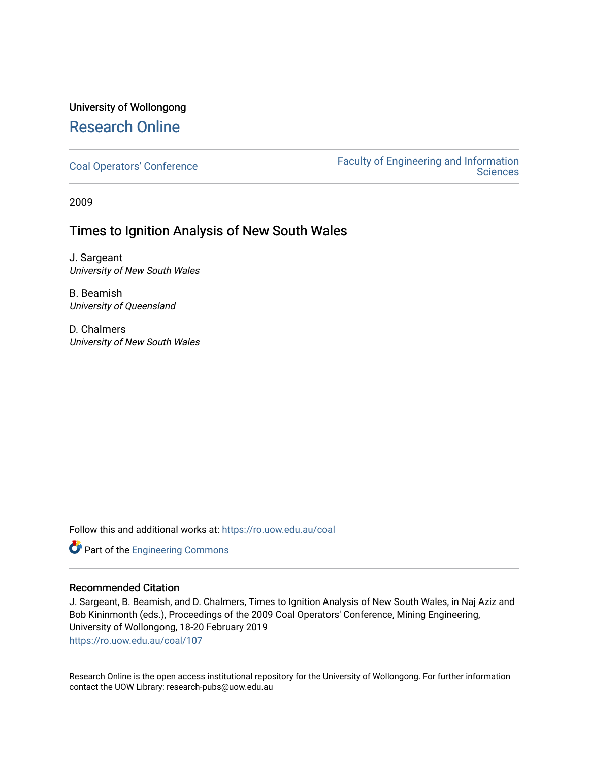## University of Wollongong [Research Online](https://ro.uow.edu.au/)

[Coal Operators' Conference](https://ro.uow.edu.au/coal) [Faculty of Engineering and Information](https://ro.uow.edu.au/eis)  **Sciences** 

2009

### Times to Ignition Analysis of New South Wales

J. Sargeant University of New South Wales

B. Beamish University of Queensland

D. Chalmers University of New South Wales

Follow this and additional works at: [https://ro.uow.edu.au/coal](https://ro.uow.edu.au/coal?utm_source=ro.uow.edu.au%2Fcoal%2F107&utm_medium=PDF&utm_campaign=PDFCoverPages) 

Part of the [Engineering Commons](http://network.bepress.com/hgg/discipline/217?utm_source=ro.uow.edu.au%2Fcoal%2F107&utm_medium=PDF&utm_campaign=PDFCoverPages)

#### Recommended Citation

J. Sargeant, B. Beamish, and D. Chalmers, Times to Ignition Analysis of New South Wales, in Naj Aziz and Bob Kininmonth (eds.), Proceedings of the 2009 Coal Operators' Conference, Mining Engineering, University of Wollongong, 18-20 February 2019 [https://ro.uow.edu.au/coal/107](https://ro.uow.edu.au/coal/107?utm_source=ro.uow.edu.au%2Fcoal%2F107&utm_medium=PDF&utm_campaign=PDFCoverPages) 

Research Online is the open access institutional repository for the University of Wollongong. For further information contact the UOW Library: research-pubs@uow.edu.au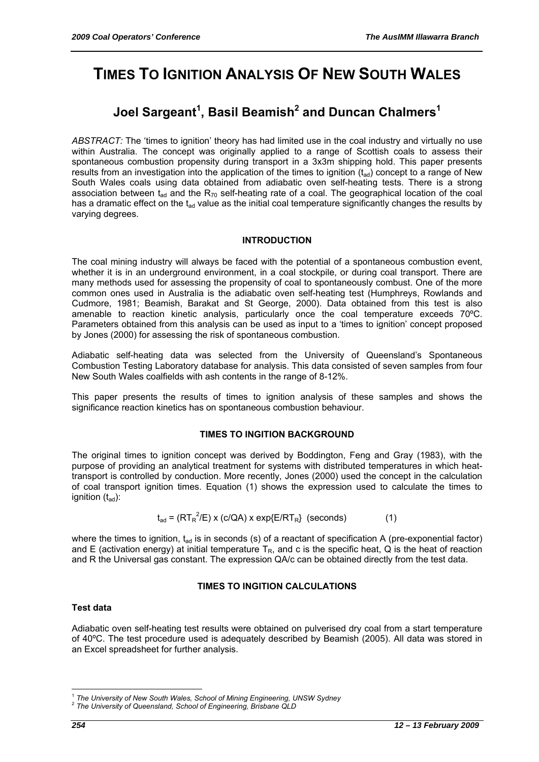# **TIMES TO IGNITION ANALYSIS OF NEW SOUTH WALES**

# **Joel Sargeant<sup>1</sup> , Basil Beamish<sup>2</sup> and Duncan Chalmers<sup>1</sup>**

*ABSTRACT:* The 'times to ignition' theory has had limited use in the coal industry and virtually no use within Australia. The concept was originally applied to a range of Scottish coals to assess their spontaneous combustion propensity during transport in a 3x3m shipping hold. This paper presents results from an investigation into the application of the times to ignition  $(t_{ad})$  concept to a range of New South Wales coals using data obtained from adiabatic oven self-heating tests. There is a strong association between  $t_{ad}$  and the  $R_{70}$  self-heating rate of a coal. The geographical location of the coal has a dramatic effect on the  $t_{ad}$  value as the initial coal temperature significantly changes the results by varying degrees.

#### **INTRODUCTION**

The coal mining industry will always be faced with the potential of a spontaneous combustion event, whether it is in an underground environment, in a coal stockpile, or during coal transport. There are many methods used for assessing the propensity of coal to spontaneously combust. One of the more common ones used in Australia is the adiabatic oven self-heating test (Humphreys, Rowlands and Cudmore, 1981; Beamish, Barakat and St George, 2000). Data obtained from this test is also amenable to reaction kinetic analysis, particularly once the coal temperature exceeds 70ºC. Parameters obtained from this analysis can be used as input to a 'times to ignition' concept proposed by Jones (2000) for assessing the risk of spontaneous combustion.

Adiabatic self-heating data was selected from the University of Queensland's Spontaneous Combustion Testing Laboratory database for analysis. This data consisted of seven samples from four New South Wales coalfields with ash contents in the range of 8-12%.

This paper presents the results of times to ignition analysis of these samples and shows the significance reaction kinetics has on spontaneous combustion behaviour.

#### **TIMES TO INGITION BACKGROUND**

The original times to ignition concept was derived by Boddington, Feng and Gray (1983), with the purpose of providing an analytical treatment for systems with distributed temperatures in which heattransport is controlled by conduction. More recently, Jones (2000) used the concept in the calculation of coal transport ignition times. Equation (1) shows the expression used to calculate the times to ignition  $(t_{\text{ad}})$ :

$$
t_{ad} = (RT_R^2/E) \times (c/QA) \times exp\{E/RT_R\} \text{ (seconds)}
$$
 (1)

where the times to ignition,  $t_{ad}$  is in seconds (s) of a reactant of specification A (pre-exponential factor) and E (activation energy) at initial temperature  $T_R$ , and c is the specific heat, Q is the heat of reaction and R the Universal gas constant. The expression QA/c can be obtained directly from the test data.

#### **TIMES TO INGITION CALCULATIONS**

#### **Test data**

Adiabatic oven self-heating test results were obtained on pulverised dry coal from a start temperature of 40ºC. The test procedure used is adequately described by Beamish (2005). All data was stored in an Excel spreadsheet for further analysis.

 $\overline{a}$ 

<sup>1</sup> *The University of New South Wales, School of Mining Engineering, UNSW Sydney* <sup>2</sup> *The University of Queensland, School of Engineering, Brisbane QLD*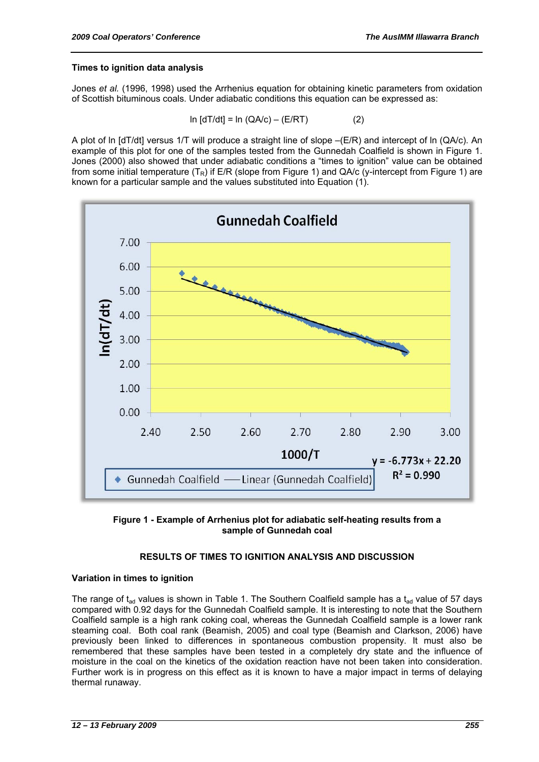#### **Times to ignition data analysis**

Jones *et al.* (1996, 1998) used the Arrhenius equation for obtaining kinetic parameters from oxidation of Scottish bituminous coals. Under adiabatic conditions this equation can be expressed as:

$$
\ln [dT/dt] = \ln (QA/c) - (E/RT)
$$
 (2)

A plot of ln [dT/dt] versus 1/T will produce a straight line of slope –(E/R) and intercept of ln (QA/c). An example of this plot for one of the samples tested from the Gunnedah Coalfield is shown in Figure 1. Jones (2000) also showed that under adiabatic conditions a "times to ignition" value can be obtained from some initial temperature  $(T_R)$  if E/R (slope from Figure 1) and QA/c (y-intercept from Figure 1) are known for a particular sample and the values substituted into Equation (1).





#### **RESULTS OF TIMES TO IGNITION ANALYSIS AND DISCUSSION**

#### **Variation in times to ignition**

The range of t<sub>ad</sub> values is shown in Table 1. The Southern Coalfield sample has a t<sub>ad</sub> value of 57 days compared with 0.92 days for the Gunnedah Coalfield sample. It is interesting to note that the Southern Coalfield sample is a high rank coking coal, whereas the Gunnedah Coalfield sample is a lower rank steaming coal. Both coal rank (Beamish, 2005) and coal type (Beamish and Clarkson, 2006) have previously been linked to differences in spontaneous combustion propensity. It must also be remembered that these samples have been tested in a completely dry state and the influence of moisture in the coal on the kinetics of the oxidation reaction have not been taken into consideration. Further work is in progress on this effect as it is known to have a major impact in terms of delaying thermal runaway.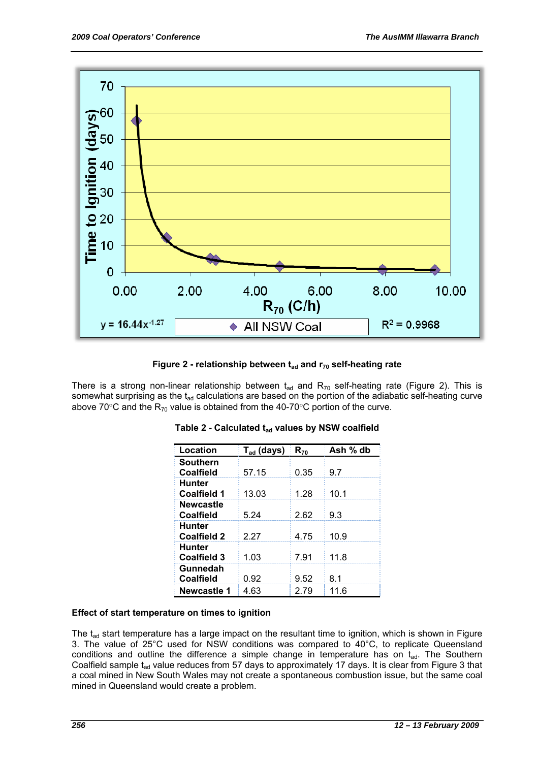

**Figure 2 - relationship between t<sub>ad</sub> and r<sub>70</sub> self-heating rate** 

There is a strong non-linear relationship between  $t_{ad}$  and  $R_{70}$  self-heating rate (Figure 2). This is somewhat surprising as the  $t_{ad}$  calculations are based on the portion of the adiabatic self-heating curve above 70 $\degree$ C and the R<sub>70</sub> value is obtained from the 40-70 $\degree$ C portion of the curve.

| Location                            | $T_{ad}$ (days) | $R_{70}$ | Ash % db |
|-------------------------------------|-----------------|----------|----------|
| <b>Southern</b><br><b>Coalfield</b> | 57.15           | 0.35     | 9.7      |
| <b>Hunter</b><br><b>Coalfield 1</b> | 13.03           | 1.28     | 10.1     |
| <b>Newcastle</b><br>Coalfield       | 5.24            | 2.62     | 9.3      |
| <b>Hunter</b><br><b>Coalfield 2</b> | 2.27            | 4.75     | 10.9     |
| Hunter<br><b>Coalfield 3</b>        | 1.03            | 7.91     | 11.8     |
| Gunnedah<br><b>Coalfield</b>        | 0.92            | 9.52     | 8.1      |
| Newcastle 1                         | 4.63            | 2.79     | 11.6     |

| Table 2 - Calculated t <sub>ad</sub> values by NSW coalfield |  |
|--------------------------------------------------------------|--|
|--------------------------------------------------------------|--|

#### **Effect of start temperature on times to ignition**

The  $t_{ad}$  start temperature has a large impact on the resultant time to ignition, which is shown in Figure 3. The value of 25°C used for NSW conditions was compared to 40°C, to replicate Queensland conditions and outline the difference a simple change in temperature has on  $t_{ad}$ . The Southern Coalfield sample  $t_{ad}$  value reduces from 57 days to approximately 17 days. It is clear from Figure 3 that a coal mined in New South Wales may not create a spontaneous combustion issue, but the same coal mined in Queensland would create a problem.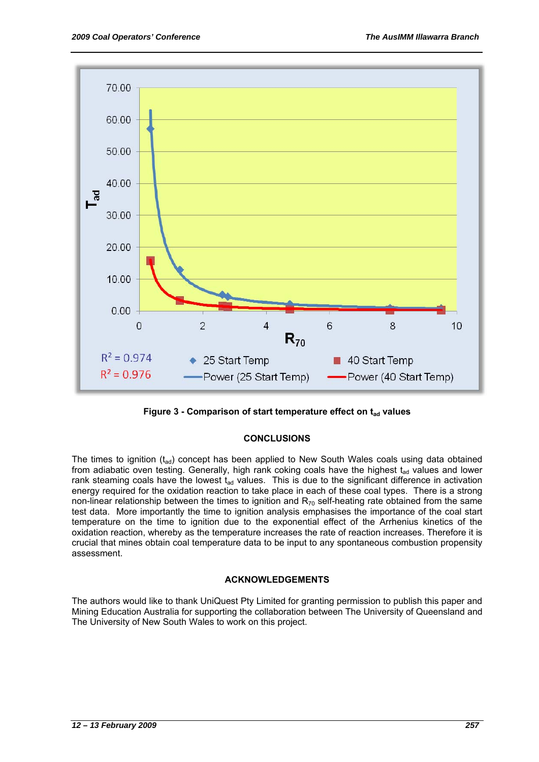

**Figure 3 - Comparison of start temperature effect on t<sub>ad</sub> values** 

#### **CONCLUSIONS**

The times to ignition  $(t_{ad})$  concept has been applied to New South Wales coals using data obtained from adiabatic oven testing. Generally, high rank coking coals have the highest  $t_{ad}$  values and lower rank steaming coals have the lowest  $t_{ad}$  values. This is due to the significant difference in activation energy required for the oxidation reaction to take place in each of these coal types. There is a strong non-linear relationship between the times to ignition and  $R_{70}$  self-heating rate obtained from the same test data. More importantly the time to ignition analysis emphasises the importance of the coal start temperature on the time to ignition due to the exponential effect of the Arrhenius kinetics of the oxidation reaction, whereby as the temperature increases the rate of reaction increases. Therefore it is crucial that mines obtain coal temperature data to be input to any spontaneous combustion propensity assessment.

#### **ACKNOWLEDGEMENTS**

The authors would like to thank UniQuest Pty Limited for granting permission to publish this paper and Mining Education Australia for supporting the collaboration between The University of Queensland and The University of New South Wales to work on this project.